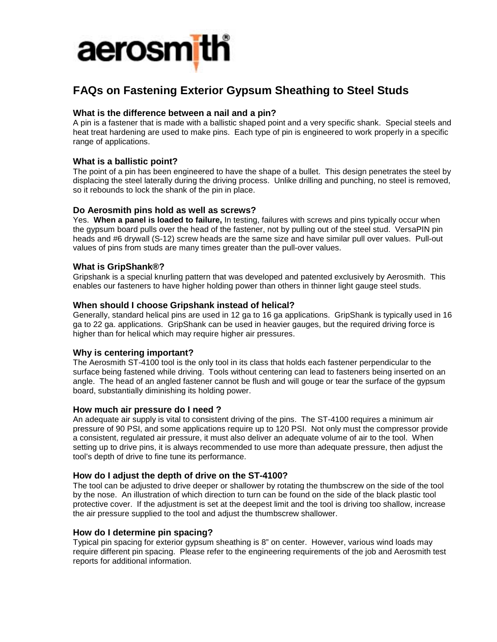

# **FAQs on Fastening Exterior Gypsum Sheathing to Steel Studs**

# **What is the difference between a nail and a pin?**

A pin is a fastener that is made with a ballistic shaped point and a very specific shank. Special steels and heat treat hardening are used to make pins. Each type of pin is engineered to work properly in a specific range of applications.

## **What is a ballistic point?**

The point of a pin has been engineered to have the shape of a bullet. This design penetrates the steel by displacing the steel laterally during the driving process. Unlike drilling and punching, no steel is removed, so it rebounds to lock the shank of the pin in place.

## **Do Aerosmith pins hold as well as screws?**

Yes. **When a panel is loaded to failure,** In testing, failures with screws and pins typically occur when the gypsum board pulls over the head of the fastener, not by pulling out of the steel stud. VersaPIN pin heads and #6 drywall (S-12) screw heads are the same size and have similar pull over values. Pull-out values of pins from studs are many times greater than the pull-over values.

#### **What is GripShank®?**

Gripshank is a special knurling pattern that was developed and patented exclusively by Aerosmith. This enables our fasteners to have higher holding power than others in thinner light gauge steel studs.

#### **When should I choose Gripshank instead of helical?**

Generally, standard helical pins are used in 12 ga to 16 ga applications. GripShank is typically used in 16 ga to 22 ga. applications. GripShank can be used in heavier gauges, but the required driving force is higher than for helical which may require higher air pressures.

## **Why is centering important?**

The Aerosmith ST-4100 tool is the only tool in its class that holds each fastener perpendicular to the surface being fastened while driving. Tools without centering can lead to fasteners being inserted on an angle. The head of an angled fastener cannot be flush and will gouge or tear the surface of the gypsum board, substantially diminishing its holding power.

#### **How much air pressure do I need ?**

An adequate air supply is vital to consistent driving of the pins. The ST-4100 requires a minimum air pressure of 90 PSI, and some applications require up to 120 PSI. Not only must the compressor provide a consistent, regulated air pressure, it must also deliver an adequate volume of air to the tool. When setting up to drive pins, it is always recommended to use more than adequate pressure, then adjust the tool's depth of drive to fine tune its performance.

## **How do I adjust the depth of drive on the ST-4100?**

The tool can be adjusted to drive deeper or shallower by rotating the thumbscrew on the side of the tool by the nose. An illustration of which direction to turn can be found on the side of the black plastic tool protective cover. If the adjustment is set at the deepest limit and the tool is driving too shallow, increase the air pressure supplied to the tool and adjust the thumbscrew shallower.

#### **How do I determine pin spacing?**

Typical pin spacing for exterior gypsum sheathing is 8" on center. However, various wind loads may require different pin spacing. Please refer to the engineering requirements of the job and Aerosmith test reports for additional information.